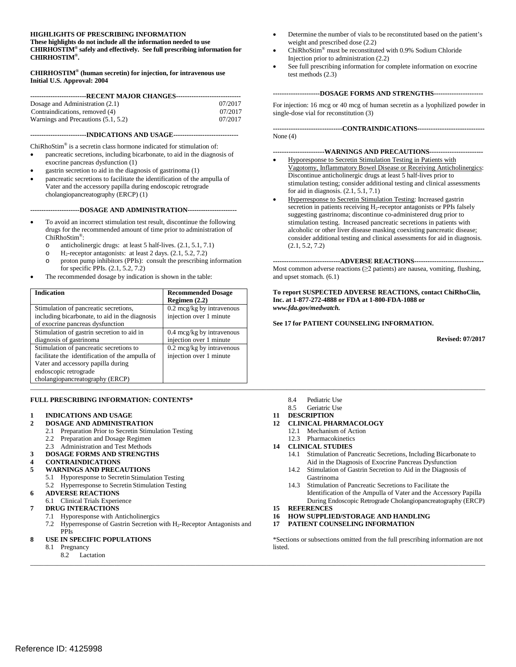#### **HIGHLIGHTS OF PRESCRIBING INFORMATION These highlights do not include all the information needed to use CHIRHOSTIM® safely and effectively. See full prescribing information for CHIRHOSTIM®.**

#### **CHIRHOSTIM® (human secretin) for injection, for intravenous use Initial U.S. Approval: 2004**

| --------------------------RECENT MAJOR CHANGES--------------------------------- |         |  |
|---------------------------------------------------------------------------------|---------|--|
| Dosage and Administration (2.1)                                                 | 07/2017 |  |
| Contraindications, removed (4)                                                  | 07/2017 |  |
| Warnings and Precautions (5.1, 5.2)                                             | 07/2017 |  |
|                                                                                 |         |  |

#### **-------------------------INDICATIONS AND USAGE-----------------------------**

ChiRhoStim® is a secretin class hormone indicated for stimulation of:

- pancreatic secretions, including bicarbonate, to aid in the diagnosis of exocrine pancreas dysfunction (1)
- gastrin secretion to aid in the diagnosis of gastrinoma (1)
- pancreatic secretions to facilitate the identification of the ampulla of Vater and the accessory papilla during endoscopic retrograde cholangiopancreatography (ERCP) (1)

#### **----------------------DOSAGE AND ADMINISTRATION----------------------**

- To avoid an incorrect stimulation test result, discontinue the following drugs for the recommended amount of time prior to administration of ChiRhoStim®:
	- o anticholinergic drugs: at least 5 half-lives.  $(2.1, 5.1, 7.1)$ <br>O H<sub>2</sub>-recentor antagonists: at least 2 days.  $(2.1, 5.2, 7.2)$
	- $H_2$ -receptor antagonists: at least 2 days.  $(2.1, 5.2, 7.2)$
	- o proton pump inhibitors (PPIs): consult the prescribing information for specific PPIs. (2.1, 5.2, 7.2)
- The recommended dosage by indication is shown in the table:

| <b>Indication</b>                               | <b>Recommended Dosage</b><br>Regimen $(2.2)$ | To report SUSPECTED ADVERSE REACTIONS, contact ChiRhoClin,<br>Inc. at 1-877-272-4888 or FDA at 1-800-FDA-1088 or |
|-------------------------------------------------|----------------------------------------------|------------------------------------------------------------------------------------------------------------------|
| Stimulation of pancreatic secretions,           | $0.2 \text{~mag/kg}$ by intravenous          | www.fda.gov/medwatch.                                                                                            |
| including bicarbonate, to aid in the diagnosis  | injection over 1 minute                      |                                                                                                                  |
| of exocrine pancreas dysfunction                |                                              | See 17 for PATIENT COUNSELING INFORMATION.                                                                       |
| Stimulation of gastrin secretion to aid in      | $0.4 \text{~mcg/kg}$ by intravenous          |                                                                                                                  |
| diagnosis of gastrinoma                         | injection over 1 minute                      | <b>Revised: 07/2017</b>                                                                                          |
| Stimulation of pancreatic secretions to         | $0.2 \text{~mcg/kg}$ by intravenous          |                                                                                                                  |
| facilitate the identification of the ampulla of | injection over 1 minute                      |                                                                                                                  |
| Vater and accessory papilla during              |                                              |                                                                                                                  |
| endoscopic retrograde                           |                                              |                                                                                                                  |
| cholangiopancreatography (ERCP)                 |                                              |                                                                                                                  |
|                                                 |                                              |                                                                                                                  |

#### **FULL PRESCRIBING INFORMATION: CONTENTS\***

#### **1 INDICATIONS AND USAGE**

- **2 DOSAGE AND ADMINISTRATION**
	- 2.1 Preparation Prior to Secretin Stimulation Testing<br>2.2 Preparation and Dosage Regimen
	- Preparation and Dosage Regimen
	- 2.3 Administration and Test Methods
- **3 DOSAGE FORMS AND STRENGTHS**
- **4 CONTRAINDICATIONS**
- **5 WARNINGS AND PRECAUTIONS**
	- 5.1 Hyporesponse to Secretin Stimulation Testing
	- 5.2 Hyperresponse to Secretin Stimulation Testing

#### **6 ADVERSE REACTIONS**

#### 6.1 Clinical Trials Experience

- **7 DRUG INTERACTIONS**
	- 7.1 Hyporesponse with Anticholinergics
	- 7.2 Hyperresponse of Gastrin Secretion with H2-Receptor Antagonists and PPIs

#### **8 USE IN SPECIFIC POPULATIONS**

- 8.1 Pregnancy
	- 8.2 Lactation
- Determine the number of vials to be reconstituted based on the patient's weight and prescribed dose (2.2)
- ChiRhoStim® must be reconstituted with 0.9% Sodium Chloride Injection prior to administration (2.2)
- See full prescribing information for complete information on exocrine test methods (2.3)

#### **---------------------DOSAGE FORMS AND STRENGTHS----------------------**

For injection: 16 mcg or 40 mcg of human secretin as a lyophilized powder in single-dose vial for reconstitution (3)

**-------------------------------CONTRAINDICATIONS------------------------------** None (4)

#### **-----------------------WARNINGS AND PRECAUTIONS------------------------**

- Hyporesponse to Secretin Stimulation Testing in Patients with Vagotomy, Inflammatory Bowel Disease or Receiving Anticholinergics: Discontinue anticholinergic drugs at least 5 half-lives prior to stimulation testing; consider additional testing and clinical assessments for aid in diagnosis. (2.1, 5.1, 7.1)
- Hyperresponse to Secretin Stimulation Testing: Increased gastrin secretion in patients receiving H<sub>2</sub>-receptor antagonists or PPIs falsely suggesting gastrinoma; discontinue co-administered drug prior to stimulation testing. Increased pancreatic secretions in patients with alcoholic or other liver disease masking coexisting pancreatic disease; consider additional testing and clinical assessments for aid in diagnosis. (2.1, 5.2, 7.2)

**------------------------------ADVERSE REACTIONS-------------------------------** Most common adverse reactions  $(\geq 2$  patients) are nausea, vomiting, flushing, and upset stomach. (6.1)

- 8.4 Pediatric Use
- 8.5 Geriatric Use
- **11 DESCRIPTION**
- **12 CLINICAL PHARMACOLOGY**
	- 12.1 Mechanism of Action
	- 12.3 Pharmacokinetics
- **14 CLINICAL STUDIES**
	- 14.1 Stimulation of Pancreatic Secretions, Including Bicarbonate to Aid in the Diagnosis of Exocrine Pancreas Dysfunction
	- 14.2 Stimulation of Gastrin Secretion to Aid in the Diagnosis of Gastrinoma
	- 14.3 Stimulation of Pancreatic Secretions to Facilitate the Identification of the Ampulla of Vater and the Accessory Papilla During Endoscopic Retrograde Cholangiopancreatography (ERCP)
- **15 REFERENCES**

*\_\_\_\_\_\_\_\_\_\_\_\_\_\_\_\_\_\_\_\_\_\_\_\_\_\_\_\_\_\_\_\_\_\_\_\_\_\_\_\_\_\_\_\_\_\_\_\_\_\_\_\_\_\_\_\_\_\_\_\_\_\_\_\_\_\_\_\_\_\_\_\_\_\_\_\_\_\_\_\_\_\_\_\_\_\_\_\_\_\_\_\_\_\_\_\_\_\_\_\_\_\_\_\_\_\_\_\_\_\_\_\_\_\_\_\_\_\_\_\_\_\_\_\_\_\_\_\_\_\_\_\_\_\_\_*

- **16 HOW SUPPLIED/STORAGE AND HANDLING**
- **17 PATIENT COUNSELING INFORMATION**

\*Sections or subsections omitted from the full prescribing information are not listed.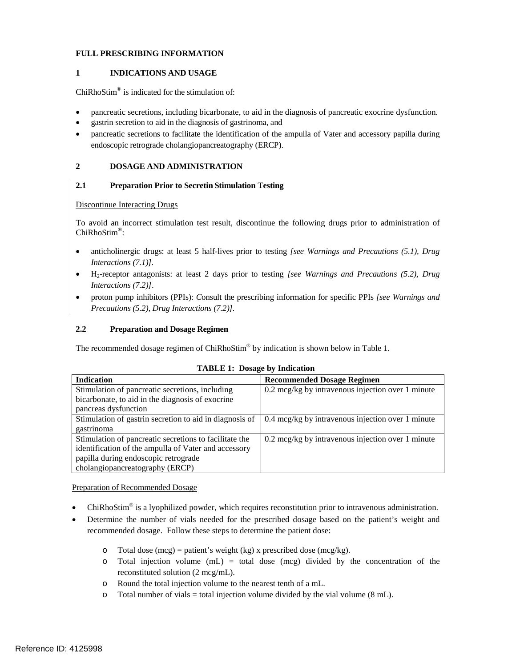# **FULL PRESCRIBING INFORMATION**

#### **1 INDICATIONS AND USAGE**

ChiRhoStim® is indicated for the stimulation of:

- pancreatic secretions, including bicarbonate, to aid in the diagnosis of pancreatic exocrine dysfunction.
- gastrin secretion to aid in the diagnosis of gastrinoma, and
- pancreatic secretions to facilitate the identification of the ampulla of Vater and accessory papilla during endoscopic retrograde cholangiopancreatography (ERCP).

#### **2 DOSAGE AND ADMINISTRATION**

#### **2.1 Preparation Prior to Secretin Stimulation Testing**

#### Discontinue Interacting Drugs

To avoid an incorrect stimulation test result, discontinue the following drugs prior to administration of ChiRhoStim®:

- anticholinergic drugs: at least 5 half-lives prior to testing *[see Warnings and Precautions (5.1), Drug Interactions (7.1)].*
- H2-receptor antagonists: at least 2 days prior to testing *[see Warnings and Precautions (5.2), Drug Interactions (7.2)]*.
- proton pump inhibitors (PPIs): *C*onsult the prescribing information for specific PPIs *[see Warnings and Precautions (5.2), Drug Interactions (7.2)].*

#### **2.2 Preparation and Dosage Regimen**

The recommended dosage regimen of ChiRhoStim<sup>®</sup> by indication is shown below in Table 1.

| <b>Indication</b>                                       | <b>Recommended Dosage Regimen</b>                           |
|---------------------------------------------------------|-------------------------------------------------------------|
| Stimulation of pancreatic secretions, including         | $0.2 \text{~mag/kg}$ by intravenous injection over 1 minute |
| bicarbonate, to aid in the diagnosis of exocrine        |                                                             |
| pancreas dysfunction                                    |                                                             |
| Stimulation of gastrin secretion to aid in diagnosis of | $0.4 \text{~mag/kg}$ by intravenous injection over 1 minute |
| gastrinoma                                              |                                                             |
| Stimulation of pancreatic secretions to facilitate the  | $0.2 \text{~mag/kg}$ by intravenous injection over 1 minute |
| identification of the ampulla of Vater and accessory    |                                                             |
| papilla during endoscopic retrograde                    |                                                             |
| cholangiopancreatography (ERCP)                         |                                                             |

#### **TABLE 1: Dosage by Indication**

Preparation of Recommended Dosage

- ChiRhoStim® is a lyophilized powder, which requires reconstitution prior to intravenous administration.
- Determine the number of vials needed for the prescribed dosage based on the patient's weight and recommended dosage. Follow these steps to determine the patient dose:
	- o Total dose  $(mcg)$  = patient's weight (kg) x prescribed dose  $(mcg/kg)$ .
	- $\circ$  Total injection volume (mL) = total dose (mcg) divided by the concentration of the reconstituted solution (2 mcg/mL).
	- o Round the total injection volume to the nearest tenth of a mL.
	- $\circ$  Total number of vials = total injection volume divided by the vial volume (8 mL).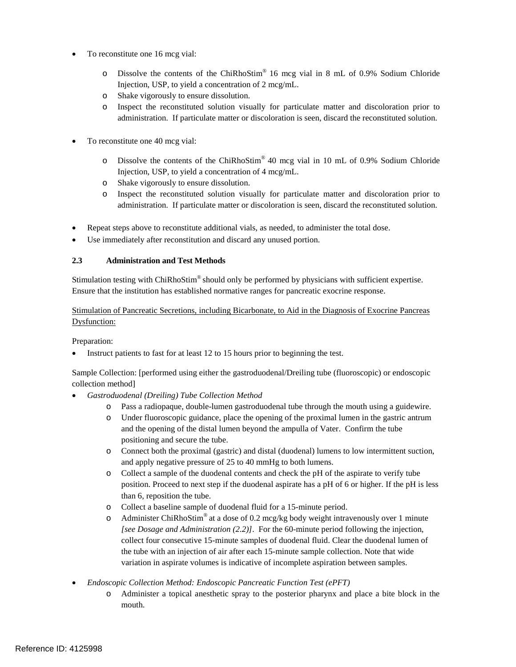- To reconstitute one 16 mcg vial:
	- o Dissolve the contents of the ChiRhoStim® 16 mcg vial in 8 mL of 0.9% Sodium Chloride Injection, USP, to yield a concentration of 2 mcg/mL.
	- o Shake vigorously to ensure dissolution.
	- o Inspect the reconstituted solution visually for particulate matter and discoloration prior to administration. If particulate matter or discoloration is seen, discard the reconstituted solution.
- To reconstitute one 40 mcg vial:
	- o Dissolve the contents of the ChiRhoStim® 40 mcg vial in 10 mL of 0.9% Sodium Chloride Injection, USP, to yield a concentration of 4 mcg/mL.
	- o Shake vigorously to ensure dissolution.
	- o Inspect the reconstituted solution visually for particulate matter and discoloration prior to administration. If particulate matter or discoloration is seen, discard the reconstituted solution.
- Repeat steps above to reconstitute additional vials, as needed, to administer the total dose.
- Use immediately after reconstitution and discard any unused portion.

# **2.3 Administration and Test Methods**

Stimulation testing with ChiRhoStim® should only be performed by physicians with sufficient expertise. Ensure that the institution has established normative ranges for pancreatic exocrine response.

Stimulation of Pancreatic Secretions, including Bicarbonate, to Aid in the Diagnosis of Exocrine Pancreas Dysfunction:

Preparation:

Instruct patients to fast for at least 12 to 15 hours prior to beginning the test.

Sample Collection: [performed using either the gastroduodenal/Dreiling tube (fluoroscopic) or endoscopic collection method]

- *Gastroduodenal (Dreiling) Tube Collection Method*
	- o Pass a radiopaque, double-lumen gastroduodenal tube through the mouth using a guidewire.
	- o Under fluoroscopic guidance, place the opening of the proximal lumen in the gastric antrum and the opening of the distal lumen beyond the ampulla of Vater. Confirm the tube positioning and secure the tube.
	- o Connect both the proximal (gastric) and distal (duodenal) lumens to low intermittent suction, and apply negative pressure of 25 to 40 mmHg to both lumens.
	- o Collect a sample of the duodenal contents and check the pH of the aspirate to verify tube position. Proceed to next step if the duodenal aspirate has a pH of 6 or higher. If the pH is less than 6, reposition the tube.
	- o Collect a baseline sample of duodenal fluid for a 15-minute period.
	- o Administer ChiRhoStim<sup>®</sup> at a dose of 0.2 mcg/kg body weight intravenously over 1 minute *[see Dosage and Administration (2.2)]*. For the 60-minute period following the injection, collect four consecutive 15-minute samples of duodenal fluid. Clear the duodenal lumen of the tube with an injection of air after each 15-minute sample collection. Note that wide variation in aspirate volumes is indicative of incomplete aspiration between samples.
- *Endoscopic Collection Method: Endoscopic Pancreatic Function Test (ePFT)*
	- o Administer a topical anesthetic spray to the posterior pharynx and place a bite block in the mouth.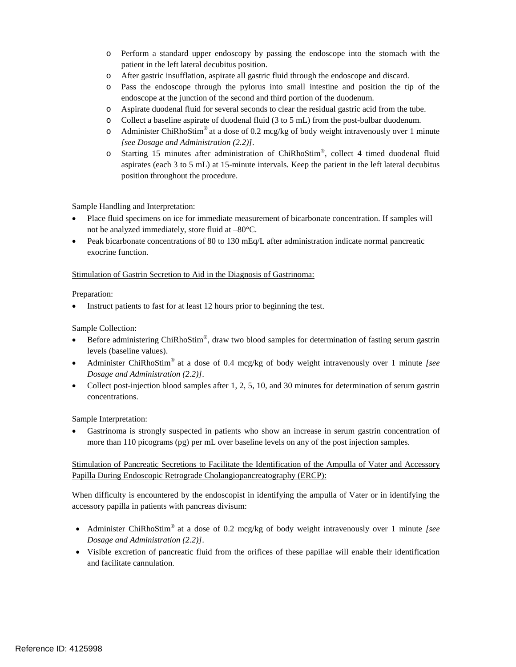- o Perform a standard upper endoscopy by passing the endoscope into the stomach with the patient in the left lateral decubitus position.
- o After gastric insufflation, aspirate all gastric fluid through the endoscope and discard.
- o Pass the endoscope through the pylorus into small intestine and position the tip of the endoscope at the junction of the second and third portion of the duodenum.
- o Aspirate duodenal fluid for several seconds to clear the residual gastric acid from the tube.
- o Collect a baseline aspirate of duodenal fluid (3 to 5 mL) from the post-bulbar duodenum.
- o Administer ChiRhoStim<sup>®</sup> at a dose of 0.2 mcg/kg of body weight intravenously over 1 minute *[see Dosage and Administration (2.2)]*.
- o Starting 15 minutes after administration of ChiRhoStim®, collect 4 timed duodenal fluid aspirates (each 3 to 5 mL) at 15-minute intervals. Keep the patient in the left lateral decubitus position throughout the procedure.

Sample Handling and Interpretation:

- Place fluid specimens on ice for immediate measurement of bicarbonate concentration. If samples will not be analyzed immediately, store fluid at –80°C.
- Peak bicarbonate concentrations of 80 to 130 mEq/L after administration indicate normal pancreatic exocrine function.

#### Stimulation of Gastrin Secretion to Aid in the Diagnosis of Gastrinoma:

Preparation:

Instruct patients to fast for at least 12 hours prior to beginning the test.

Sample Collection:

- Before administering ChiRhoStim®, draw two blood samples for determination of fasting serum gastrin levels (baseline values).
- Administer ChiRhoStim® at a dose of 0.4 mcg/kg of body weight intravenously over 1 minute *[see Dosage and Administration (2.2)]*.
- Collect post-injection blood samples after 1, 2, 5, 10, and 30 minutes for determination of serum gastrin concentrations.

Sample Interpretation:

Gastrinoma is strongly suspected in patients who show an increase in serum gastrin concentration of more than 110 picograms (pg) per mL over baseline levels on any of the post injection samples.

Stimulation of Pancreatic Secretions to Facilitate the Identification of the Ampulla of Vater and Accessory Papilla During Endoscopic Retrograde Cholangiopancreatography (ERCP):

When difficulty is encountered by the endoscopist in identifying the ampulla of Vater or in identifying the accessory papilla in patients with pancreas divisum:

- Administer ChiRhoStim® at a dose of 0.2 mcg/kg of body weight intravenously over 1 minute *[see Dosage and Administration (2.2)]*.
- Visible excretion of pancreatic fluid from the orifices of these papillae will enable their identification and facilitate cannulation.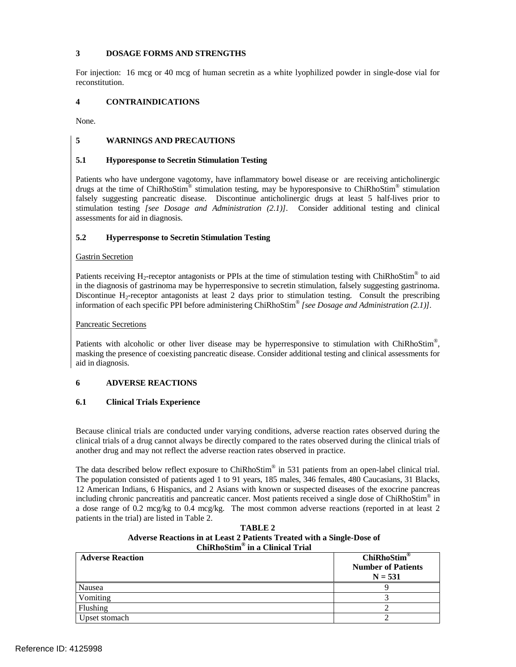# **3 DOSAGE FORMS AND STRENGTHS**

For injection: 16 mcg or 40 mcg of human secretin as a white lyophilized powder in single-dose vial for reconstitution.

# **4 CONTRAINDICATIONS**

None.

# **5 WARNINGS AND PRECAUTIONS**

# **5.1 Hyporesponse to Secretin Stimulation Testing**

Patients who have undergone vagotomy, have inflammatory bowel disease or are receiving anticholinergic drugs at the time of ChiRhoStim<sup>®</sup> stimulation testing, may be hyporesponsive to ChiRhoStim<sup>®</sup> stimulation falsely suggesting pancreatic disease. Discontinue anticholinergic drugs at least 5 half-lives prior to stimulation testing *[see Dosage and Administration (2.1)]*. Consider additional testing and clinical assessments for aid in diagnosis.

# **5.2 Hyperresponse to Secretin Stimulation Testing**

#### Gastrin Secretion

Patients receiving H<sub>2</sub>-receptor antagonists or PPIs at the time of stimulation testing with ChiRhoStim<sup>®</sup> to aid in the diagnosis of gastrinoma may be hyperresponsive to secretin stimulation, falsely suggesting gastrinoma. Discontinue  $H_2$ -receptor antagonists at least 2 days prior to stimulation testing. Consult the prescribing information of each specific PPI before administering ChiRhoStim® *[see Dosage and Administration (2.1)].*

#### Pancreatic Secretions

Patients with alcoholic or other liver disease may be hyperresponsive to stimulation with ChiRhoStim<sup>®</sup>, masking the presence of coexisting pancreatic disease. Consider additional testing and clinical assessments for aid in diagnosis.

# **6 ADVERSE REACTIONS**

# **6.1 Clinical Trials Experience**

Because clinical trials are conducted under varying conditions, adverse reaction rates observed during the clinical trials of a drug cannot always be directly compared to the rates observed during the clinical trials of another drug and may not reflect the adverse reaction rates observed in practice.

The data described below reflect exposure to ChiRhoStim<sup>®</sup> in 531 patients from an open-label clinical trial. The population consisted of patients aged 1 to 91 years, 185 males, 346 females, 480 Caucasians, 31 Blacks, 12 American Indians, 6 Hispanics, and 2 Asians with known or suspected diseases of the exocrine pancreas including chronic pancreatitis and pancreatic cancer. Most patients received a single dose of ChiRhoStim® in a dose range of 0.2 mcg/kg to 0.4 mcg/kg. The most common adverse reactions (reported in at least 2 patients in the trial) are listed in Table 2.

| TABLE 2                                                                |  |  |
|------------------------------------------------------------------------|--|--|
| Adverse Reactions in at Least 2 Patients Treated with a Single-Dose of |  |  |
| ChiRhoStim® in a Clinical Trial                                        |  |  |

| <b>Adverse Reaction</b> | ChiRhoStim®<br><b>Number of Patients</b><br>$N = 531$ |
|-------------------------|-------------------------------------------------------|
| Nausea                  |                                                       |
| Vomiting                |                                                       |
| Flushing                |                                                       |
| Upset stomach           |                                                       |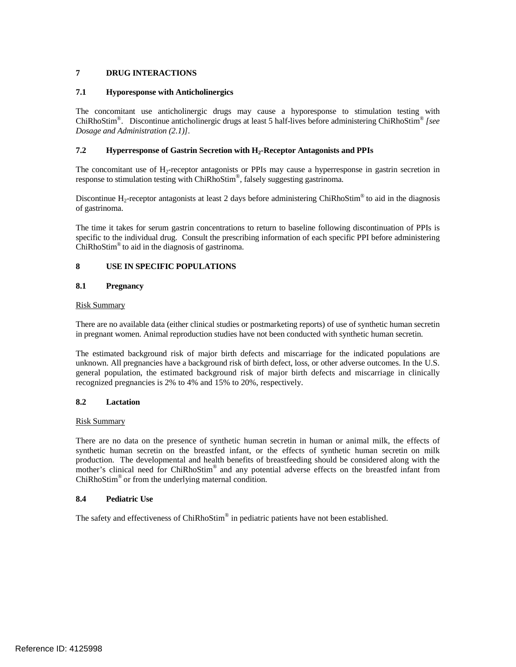# **7 DRUG INTERACTIONS**

# **7.1 Hyporesponse with Anticholinergics**

The concomitant use anticholinergic drugs may cause a hyporesponse to stimulation testing with ChiRhoStim®. Discontinue anticholinergic drugs at least 5 half-lives before administering ChiRhoStim® *[see Dosage and Administration (2.1)]*.

# **7.2 Hyperresponse of Gastrin Secretion with H<sub>2</sub>-Receptor Antagonists and PPIs**

The concomitant use of H<sub>2</sub>-receptor antagonists or PPIs may cause a hyperresponse in gastrin secretion in response to stimulation testing with ChiRhoStim®, falsely suggesting gastrinoma.

Discontinue H<sub>2</sub>-receptor antagonists at least 2 days before administering ChiRhoStim<sup>®</sup> to aid in the diagnosis of gastrinoma.

The time it takes for serum gastrin concentrations to return to baseline following discontinuation of PPIs is specific to the individual drug. Consult the prescribing information of each specific PPI before administering  $ChiRhoStim<sup>®</sup>$  to aid in the diagnosis of gastrinoma.

# **8 USE IN SPECIFIC POPULATIONS**

# **8.1 Pregnancy**

#### Risk Summary

There are no available data (either clinical studies or postmarketing reports) of use of synthetic human secretin in pregnant women. Animal reproduction studies have not been conducted with synthetic human secretin.

The estimated background risk of major birth defects and miscarriage for the indicated populations are unknown. All pregnancies have a background risk of birth defect, loss, or other adverse outcomes. In the U.S. general population, the estimated background risk of major birth defects and miscarriage in clinically recognized pregnancies is 2% to 4% and 15% to 20%, respectively.

# **8.2 Lactation**

#### Risk Summary

There are no data on the presence of synthetic human secretin in human or animal milk, the effects of synthetic human secretin on the breastfed infant, or the effects of synthetic human secretin on milk production. The developmental and health benefits of breastfeeding should be considered along with the mother's clinical need for  $ChiRhoStim^{\circledcirc}$  and any potential adverse effects on the breastfed infant from ChiRhoStim® or from the underlying maternal condition.

# **8.4 Pediatric Use**

The safety and effectiveness of ChiRhoStim<sup>®</sup> in pediatric patients have not been established.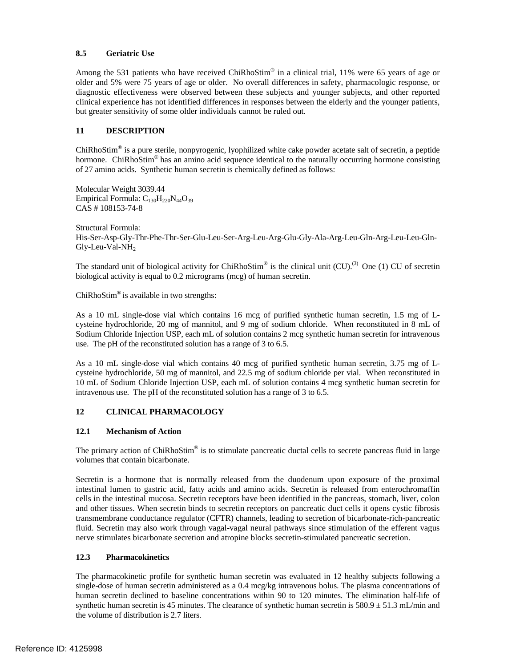# **8.5 Geriatric Use**

Among the 531 patients who have received ChiRhoStim<sup>®</sup> in a clinical trial, 11% were 65 years of age or older and 5% were 75 years of age or older. No overall differences in safety, pharmacologic response, or diagnostic effectiveness were observed between these subjects and younger subjects, and other reported clinical experience has not identified differences in responses between the elderly and the younger patients, but greater sensitivity of some older individuals cannot be ruled out.

# **11 DESCRIPTION**

 $ChiRhoStim<sup>®</sup>$  is a pure sterile, nonpyrogenic, lyophilized white cake powder acetate salt of secretin, a peptide hormone. ChiRhoStim<sup>®</sup> has an amino acid sequence identical to the naturally occurring hormone consisting of 27 amino acids. Synthetic human secretin is chemically defined as follows:

Molecular Weight 3039.44 Empirical Formula:  $C_{130}H_{220}N_{44}O_{39}$ CAS # 108153-74-8

Structural Formula: His-Ser-Asp-Gly-Thr-Phe-Thr-Ser-Glu-Leu-Ser-Arg-Leu-Arg-Glu-Gly-Ala-Arg-Leu-Gln-Arg-Leu-Leu-Gln- $Gly$ -Leu-Val-NH<sub>2</sub>

The standard unit of biological activity for ChiRhoStim<sup>®</sup> is the clinical unit (CU).<sup>(3)</sup> One (1) CU of secretin biological activity is equal to 0.2 micrograms (mcg) of human secretin.

 $ChiRhoStim<sup>®</sup>$  is available in two strengths:

As a 10 mL single-dose vial which contains 16 mcg of purified synthetic human secretin, 1.5 mg of Lcysteine hydrochloride, 20 mg of mannitol, and 9 mg of sodium chloride. When reconstituted in 8 mL of Sodium Chloride Injection USP, each mL of solution contains 2 mcg synthetic human secretin for intravenous use. The pH of the reconstituted solution has a range of 3 to 6.5.

As a 10 mL single-dose vial which contains 40 mcg of purified synthetic human secretin, 3.75 mg of Lcysteine hydrochloride, 50 mg of mannitol, and 22.5 mg of sodium chloride per vial. When reconstituted in 10 mL of Sodium Chloride Injection USP, each mL of solution contains 4 mcg synthetic human secretin for intravenous use. The pH of the reconstituted solution has a range of 3 to 6.5.

# **12 CLINICAL PHARMACOLOGY**

# **12.1 Mechanism of Action**

The primary action of  $ChiRhoStim<sup>®</sup>$  is to stimulate pancreatic ductal cells to secrete pancreas fluid in large volumes that contain bicarbonate.

Secretin is a hormone that is normally released from the duodenum upon exposure of the proximal intestinal lumen to gastric acid, fatty acids and amino acids. Secretin is released from enterochromaffin cells in the intestinal mucosa. Secretin receptors have been identified in the pancreas, stomach, liver, colon and other tissues. When secretin binds to secretin receptors on pancreatic duct cells it opens cystic fibrosis transmembrane conductance regulator (CFTR) channels, leading to secretion of bicarbonate-rich-pancreatic fluid. Secretin may also work through vagal-vagal neural pathways since stimulation of the efferent vagus nerve stimulates bicarbonate secretion and atropine blocks secretin-stimulated pancreatic secretion.

# **12.3 Pharmacokinetics**

The pharmacokinetic profile for synthetic human secretin was evaluated in 12 healthy subjects following a single-dose of human secretin administered as a 0.4 mcg/kg intravenous bolus. The plasma concentrations of human secretin declined to baseline concentrations within 90 to 120 minutes. The elimination half-life of synthetic human secretin is 45 minutes. The clearance of synthetic human secretin is  $580.9 \pm 51.3$  mL/min and the volume of distribution is 2.7 liters.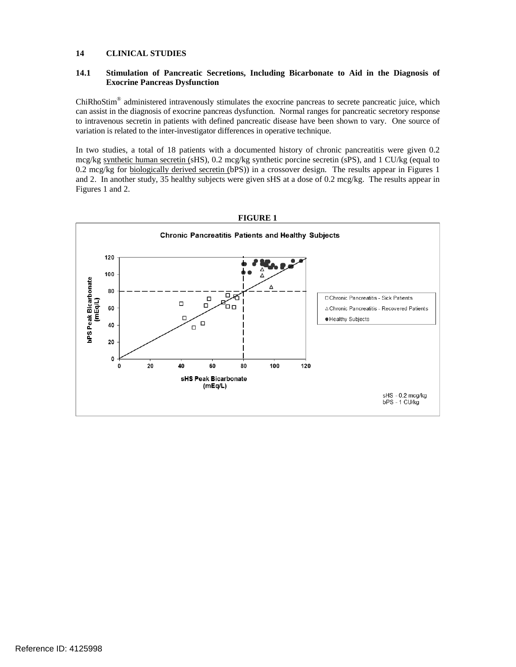#### **14 CLINICAL STUDIES**

#### **14.1 Stimulation of Pancreatic Secretions, Including Bicarbonate to Aid in the Diagnosis of Exocrine Pancreas Dysfunction**

ChiRhoStim® administered intravenously stimulates the exocrine pancreas to secrete pancreatic juice, which can assist in the diagnosis of exocrine pancreas dysfunction. Normal ranges for pancreatic secretory response to intravenous secretin in patients with defined pancreatic disease have been shown to vary. One source of variation is related to the inter-investigator differences in operative technique.

In two studies, a total of 18 patients with a documented history of chronic pancreatitis were given 0.2 mcg/kg synthetic human secretin (sHS), 0.2 mcg/kg synthetic porcine secretin (sPS), and 1 CU/kg (equal to 0.2 mcg/kg for biologically derived secretin (bPS)) in a crossover design. The results appear in Figures 1 and 2. In another study, 35 healthy subjects were given sHS at a dose of 0.2 mcg/kg. The results appear in Figures 1 and 2.



#### **FIGURE 1**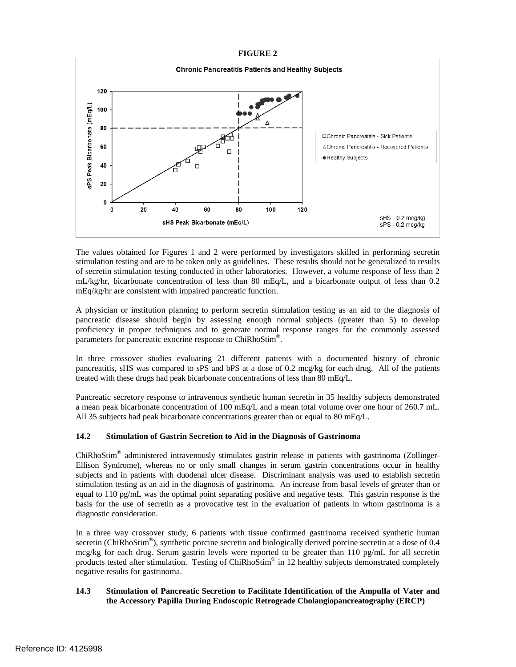# **FIGURE 2**



The values obtained for Figures 1 and 2 were performed by investigators skilled in performing secretin stimulation testing and are to be taken only as guidelines. These results should not be generalized to results of secretin stimulation testing conducted in other laboratories. However, a volume response of less than 2 mL/kg/hr, bicarbonate concentration of less than 80 mEq/L, and a bicarbonate output of less than 0.2 mEq/kg/hr are consistent with impaired pancreatic function.

A physician or institution planning to perform secretin stimulation testing as an aid to the diagnosis of pancreatic disease should begin by assessing enough normal subjects (greater than 5) to develop proficiency in proper techniques and to generate normal response ranges for the commonly assessed parameters for pancreatic exocrine response to ChiRhoStim®.

In three crossover studies evaluating 21 different patients with a documented history of chronic pancreatitis, sHS was compared to sPS and bPS at a dose of 0.2 mcg/kg for each drug. All of the patients treated with these drugs had peak bicarbonate concentrations of less than 80 mEq/L.

Pancreatic secretory response to intravenous synthetic human secretin in 35 healthy subjects demonstrated a mean peak bicarbonate concentration of 100 mEq/L and a mean total volume over one hour of 260.7 mL. All 35 subjects had peak bicarbonate concentrations greater than or equal to 80 mEq/L.

# **14.2 Stimulation of Gastrin Secretion to Aid in the Diagnosis of Gastrinoma**

ChiRhoStim® administered intravenously stimulates gastrin release in patients with gastrinoma (Zollinger-Ellison Syndrome), whereas no or only small changes in serum gastrin concentrations occur in healthy subjects and in patients with duodenal ulcer disease. Discriminant analysis was used to establish secretin stimulation testing as an aid in the diagnosis of gastrinoma. An increase from basal levels of greater than or equal to 110 pg/mL was the optimal point separating positive and negative tests. This gastrin response is the basis for the use of secretin as a provocative test in the evaluation of patients in whom gastrinoma is a diagnostic consideration.

In a three way crossover study, 6 patients with tissue confirmed gastrinoma received synthetic human secretin (ChiRhoStim<sup>®</sup>), synthetic porcine secretin and biologically derived porcine secretin at a dose of 0.4 mcg/kg for each drug. Serum gastrin levels were reported to be greater than 110 pg/mL for all secretin products tested after stimulation. Testing of ChiRhoStim® in 12 healthy subjects demonstrated completely negative results for gastrinoma.

# **14.3 Stimulation of Pancreatic Secretion to Facilitate Identification of the Ampulla of Vater and the Accessory Papilla During Endoscopic Retrograde Cholangiopancreatography (ERCP)**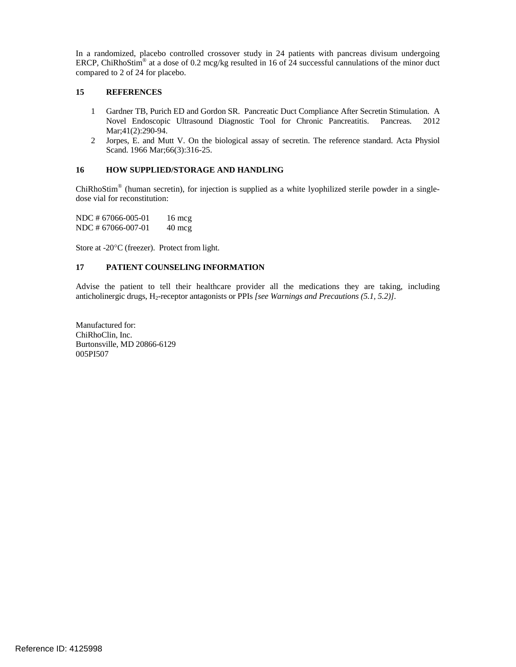In a randomized, placebo controlled crossover study in 24 patients with pancreas divisum undergoing ERCP, ChiRhoStim<sup>®</sup> at a dose of 0.2 mcg/kg resulted in 16 of 24 successful cannulations of the minor duct compared to 2 of 24 for placebo.

#### **15 REFERENCES**

- 1 Gardner TB, Purich ED and Gordon SR. Pancreatic Duct Compliance After Secretin Stimulation. A Novel Endoscopic Ultrasound Diagnostic Tool for Chronic Pancreatitis. Pancreas. 2012 Mar;41(2):290-94.
- 2 Jorpes, E. and Mutt V. On the biological assay of secretin. The reference standard. Acta Physiol Scand. 1966 Mar; 66(3): 316-25.

# **16 HOW SUPPLIED/STORAGE AND HANDLING**

ChiRhoStim® (human secretin), for injection is supplied as a white lyophilized sterile powder in a singledose vial for reconstitution:

NDC # 67066-005-01 16 mcg NDC # 67066-007-01 40 mcg

Store at -20°C (freezer). Protect from light.

### **17 PATIENT COUNSELING INFORMATION**

Advise the patient to tell their healthcare provider all the medications they are taking, including anticholinergic drugs, H2-receptor antagonists or PPIs *[see Warnings and Precautions (5.1, 5.2)].*

Manufactured for: ChiRhoClin, Inc. Burtonsville, MD 20866-6129 005PI507